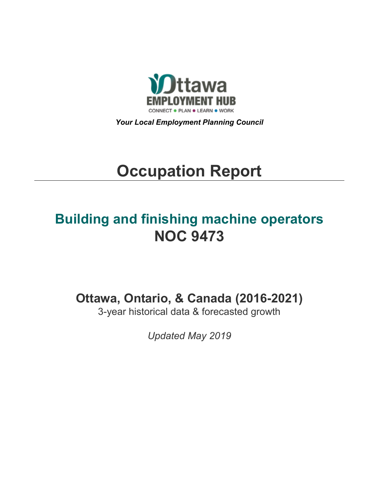

*Your Local Employment Planning Council*

# **Occupation Report**

## **Building and finishing machine operators NOC 9473**

**Ottawa, Ontario, & Canada (2016-2021)**

3-year historical data & forecasted growth

*Updated May 2019*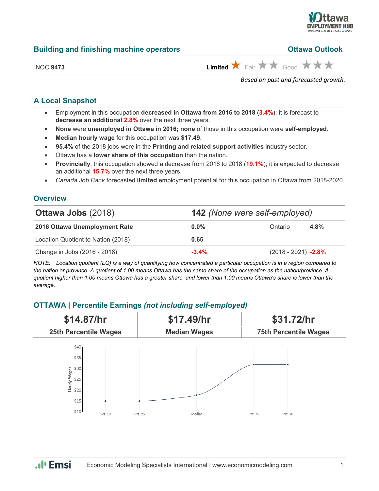

## **Building and finishing machine operators**

| <b>Ottawa Outlook</b> |  |
|-----------------------|--|
|                       |  |
|                       |  |

| <b>NOC 9473</b> |  |
|-----------------|--|
|-----------------|--|

 $\overrightarrow{H}$  Fair  $\overrightarrow{H}$  Good  $\overrightarrow{H}$   $\overrightarrow{H}$ 

*Based on past and forecasted growth.*

## **A Local Snapshot**

- Employment in this occupation **decreased in Ottawa from 2016 to 2018** (**3.4%**); it is forecast to **decrease an additional 2.8%** over the next three years.
- **None** were **unemployed in Ottawa in 2016; none** of those in this occupation were **self-employed**.
- **Median hourly wage** for this occupation was **\$17.49**.
- **95.4%** of the 2018 jobs were in the **Printing and related support activities** industry sector.
- Ottawa has a **lower share of this occupation** than the nation.
- **Provincially**, this occupation showed a decrease from 2016 to 2018 (**19.1%**); it is expected to decrease an additional **15.7%** over the next three years.
- *Canada Job Bank* forecasted **limited** employment potential for this occupation in Ottawa from 2018-2020.

## **Overview**

| <b>Ottawa Jobs (2018)</b>          | <b>142</b> (None were self-employed) |                       |      |
|------------------------------------|--------------------------------------|-----------------------|------|
| 2016 Ottawa Unemployment Rate      | $0.0\%$                              | Ontario               | 4.8% |
| Location Quotient to Nation (2018) | 0.65                                 |                       |      |
| Change in Jobs (2016 - 2018)       | $-3.4%$                              | $(2018 - 2021)$ -2.8% |      |

*NOTE: Location quotient (LQ) is a way of quantifying how concentrated a particular occupation is in a region compared to the nation or province. A quotient of 1.00 means Ottawa has the same share of the occupation as the nation/province. A quotient higher than 1.00 means Ottawa has a greater share, and lower than 1.00 means Ottawa's share is lower than the average.*

## **OTTAWA | Percentile Earnings** *(not including self-employed)*

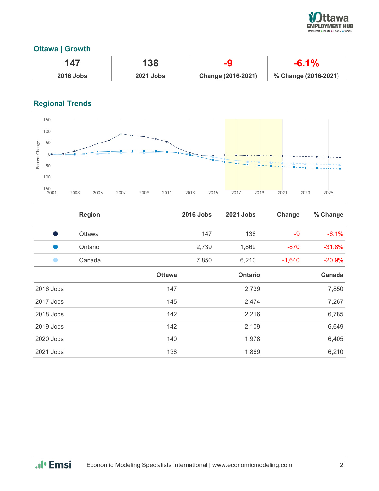

## **Ottawa | Growth**

|                  | 138              |                    | $-6.1\%$             |
|------------------|------------------|--------------------|----------------------|
| <b>2016 Jobs</b> | <b>2021 Jobs</b> | Change (2016-2021) | % Change (2016-2021) |

## **Regional Trends**



|           | <b>Region</b> |               | <b>2016 Jobs</b> | <b>2021 Jobs</b> | Change   | % Change |
|-----------|---------------|---------------|------------------|------------------|----------|----------|
| s,        | Ottawa        |               | 147              | 138              | $-9$     | $-6.1%$  |
|           | Ontario       |               | 2,739            | 1,869            | $-870$   | $-31.8%$ |
|           | Canada        |               | 7,850            | 6,210            | $-1,640$ | $-20.9%$ |
|           |               | <b>Ottawa</b> |                  | <b>Ontario</b>   |          | Canada   |
| 2016 Jobs |               | 147           |                  | 2,739            |          | 7,850    |
| 2017 Jobs |               | 145           |                  | 2,474            |          | 7,267    |
| 2018 Jobs |               | 142           |                  | 2,216            |          | 6,785    |
| 2019 Jobs |               | 142           |                  | 2,109            |          | 6,649    |
| 2020 Jobs |               | 140           |                  | 1,978            |          | 6,405    |
| 2021 Jobs |               | 138           |                  | 1,869            |          | 6,210    |

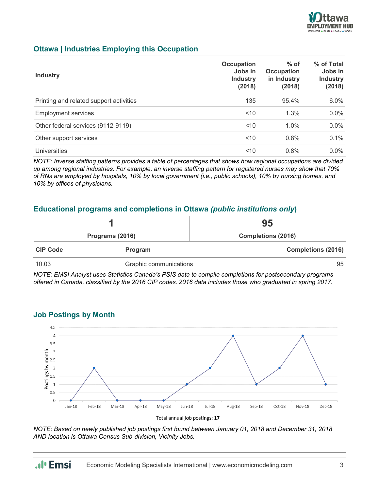

## **Ottawa | Industries Employing this Occupation**

| <b>Industry</b>                         | <b>Occupation</b><br>Jobs in<br><b>Industry</b><br>(2018) | $%$ of<br><b>Occupation</b><br>in Industry<br>(2018) | % of Total<br>Jobs in<br><b>Industry</b><br>(2018) |
|-----------------------------------------|-----------------------------------------------------------|------------------------------------------------------|----------------------------------------------------|
| Printing and related support activities | 135                                                       | 95.4%                                                | 6.0%                                               |
| <b>Employment services</b>              | ~10                                                       | 1.3%                                                 | $0.0\%$                                            |
| Other federal services (9112-9119)      | < 10                                                      | $1.0\%$                                              | $0.0\%$                                            |
| Other support services                  | ~10                                                       | 0.8%                                                 | 0.1%                                               |
| <b>Universities</b>                     | ~10                                                       | 0.8%                                                 | $0.0\%$                                            |

*NOTE: Inverse staffing patterns provides a table of percentages that shows how regional occupations are divided up among regional industries. For example, an inverse staffing pattern for registered nurses may show that 70% of RNs are employed by hospitals, 10% by local government (i.e., public schools), 10% by nursing homes, and 10% by offices of physicians.*

## **Educational programs and completions in Ottawa** *(public institutions only***)**

|                 |                        | 95                        |
|-----------------|------------------------|---------------------------|
|                 | Programs (2016)        | <b>Completions (2016)</b> |
| <b>CIP Code</b> | Program                | <b>Completions (2016)</b> |
| 10.03           | Graphic communications | 95                        |

*NOTE: EMSI Analyst uses Statistics Canada's PSIS data to compile completions for postsecondary programs offered in Canada, classified by the 2016 CIP codes. 2016 data includes those who graduated in spring 2017.*



**Job Postings by Month**

*NOTE: Based on newly published job postings first found between January 01, 2018 and December 31, 2018 AND location is Ottawa Census Sub-division, Vicinity Jobs.*